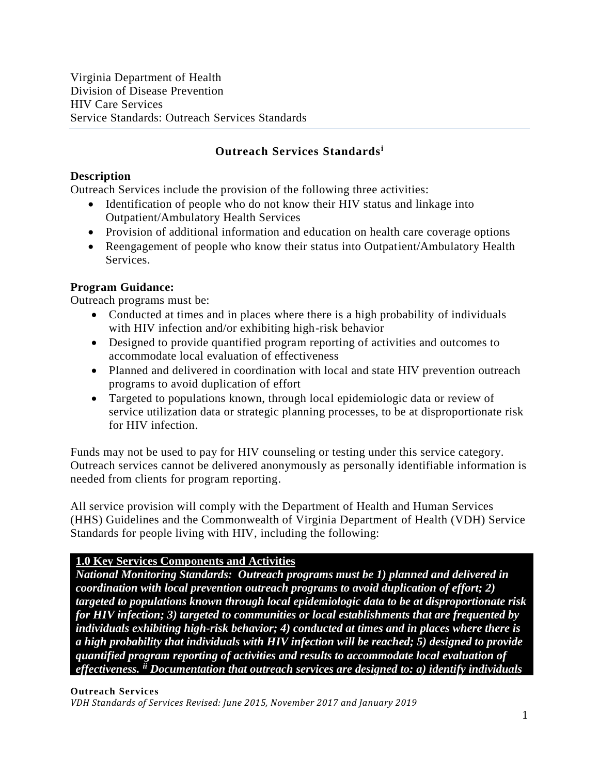Virginia Department of Health Division of Disease Prevention HIV Care Services Service Standards: Outreach Services Standards

# **Outreach Services Standards<sup>i</sup>**

### **Description**

Outreach Services include the provision of the following three activities:

- Identification of people who do not know their HIV status and linkage into Outpatient/Ambulatory Health Services
- Provision of additional information and education on health care coverage options
- Reengagement of people who know their status into Outpatient/Ambulatory Health Services.

### **Program Guidance:**

Outreach programs must be:

- Conducted at times and in places where there is a high probability of individuals with HIV infection and/or exhibiting high-risk behavior
- Designed to provide quantified program reporting of activities and outcomes to accommodate local evaluation of effectiveness
- Planned and delivered in coordination with local and state HIV prevention outreach programs to avoid duplication of effort
- Targeted to populations known, through local epidemiologic data or review of service utilization data or strategic planning processes, to be at disproportionate risk for HIV infection.

Funds may not be used to pay for HIV counseling or testing under this service category. Outreach services cannot be delivered anonymously as personally identifiable information is needed from clients for program reporting.

All service provision will comply with the Department of Health and Human Services (HHS) Guidelines and the Commonwealth of Virginia Department of Health (VDH) Service Standards for people living with HIV, including the following:

### **1.0 Key Services Components and Activities**

*National Monitoring Standards: Outreach programs must be 1) planned and delivered in coordination with local prevention outreach programs to avoid duplication of effort; 2) targeted to populations known through local epidemiologic data to be at disproportionate risk for HIV infection; 3) targeted to communities or local establishments that are frequented by individuals exhibiting high-risk behavior; 4) conducted at times and in places where there is a high probability that individuals with HIV infection will be reached; 5) designed to provide quantified program reporting of activities and results to accommodate local evaluation of effectiveness. ii Documentation that outreach services are designed to: a) identify individuals* 

#### **Outreach Services**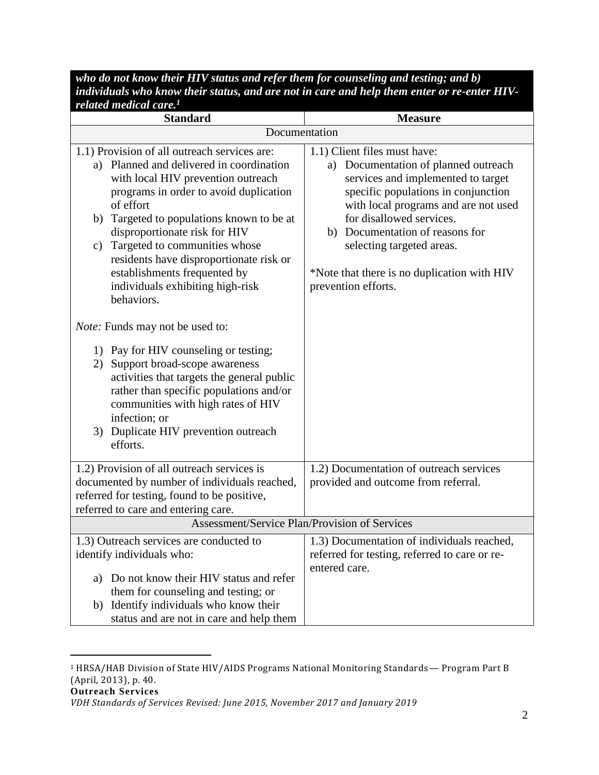*who do not know their HIV status and refer them for counseling and testing; and b) individuals who know their status, and are not in care and help them enter or re-enter HIVrelated medical care.<sup>1</sup>*

| <b>Standard</b>                                                                                                                                                                                                                                                                                                                                                                                                                            | <b>Measure</b>                                                                                                                                                                                                                                                                                                                                                 |
|--------------------------------------------------------------------------------------------------------------------------------------------------------------------------------------------------------------------------------------------------------------------------------------------------------------------------------------------------------------------------------------------------------------------------------------------|----------------------------------------------------------------------------------------------------------------------------------------------------------------------------------------------------------------------------------------------------------------------------------------------------------------------------------------------------------------|
| Documentation                                                                                                                                                                                                                                                                                                                                                                                                                              |                                                                                                                                                                                                                                                                                                                                                                |
| 1.1) Provision of all outreach services are:<br>a) Planned and delivered in coordination<br>with local HIV prevention outreach<br>programs in order to avoid duplication<br>of effort<br>Targeted to populations known to be at<br>b)<br>disproportionate risk for HIV<br>Targeted to communities whose<br>c)<br>residents have disproportionate risk or<br>establishments frequented by<br>individuals exhibiting high-risk<br>behaviors. | 1.1) Client files must have:<br>a) Documentation of planned outreach<br>services and implemented to target<br>specific populations in conjunction<br>with local programs and are not used<br>for disallowed services.<br>Documentation of reasons for<br>b)<br>selecting targeted areas.<br>*Note that there is no duplication with HIV<br>prevention efforts. |
| <i>Note:</i> Funds may not be used to:<br>1) Pay for HIV counseling or testing;<br>Support broad-scope awareness<br>2)<br>activities that targets the general public<br>rather than specific populations and/or<br>communities with high rates of HIV<br>infection; or<br>3) Duplicate HIV prevention outreach<br>efforts.                                                                                                                 |                                                                                                                                                                                                                                                                                                                                                                |
| 1.2) Provision of all outreach services is<br>documented by number of individuals reached,<br>referred for testing, found to be positive,<br>referred to care and entering care.                                                                                                                                                                                                                                                           | 1.2) Documentation of outreach services<br>provided and outcome from referral.                                                                                                                                                                                                                                                                                 |
| Assessment/Service Plan/Provision of Services                                                                                                                                                                                                                                                                                                                                                                                              |                                                                                                                                                                                                                                                                                                                                                                |
| 1.3) Outreach services are conducted to<br>identify individuals who:<br>Do not know their HIV status and refer<br>a)<br>them for counseling and testing; or                                                                                                                                                                                                                                                                                | 1.3) Documentation of individuals reached,<br>referred for testing, referred to care or re-<br>entered care.                                                                                                                                                                                                                                                   |
| b) Identify individuals who know their<br>status and are not in care and help them                                                                                                                                                                                                                                                                                                                                                         |                                                                                                                                                                                                                                                                                                                                                                |

<sup>1</sup> HRSA/HAB Division of State HIV/AIDS Programs National Monitoring Standards— Program Part B (April, 2013), p. 40.

 $\overline{a}$ 

*VDH Standards of Services Revised: June 2015, November 2017 and January 2019*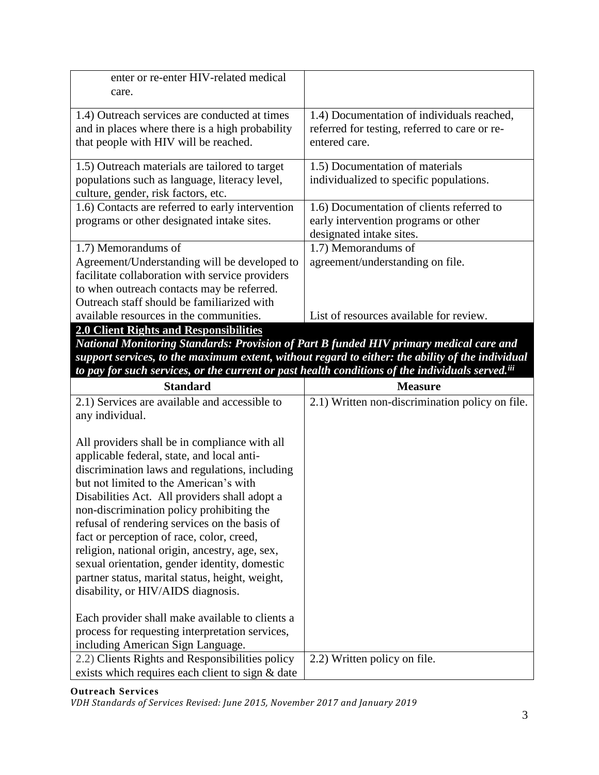| enter or re-enter HIV-related medical                                                                                                     |                                                                                                              |
|-------------------------------------------------------------------------------------------------------------------------------------------|--------------------------------------------------------------------------------------------------------------|
| care.                                                                                                                                     |                                                                                                              |
| 1.4) Outreach services are conducted at times<br>and in places where there is a high probability<br>that people with HIV will be reached. | 1.4) Documentation of individuals reached,<br>referred for testing, referred to care or re-<br>entered care. |
| 1.5) Outreach materials are tailored to target<br>populations such as language, literacy level,<br>culture, gender, risk factors, etc.    | 1.5) Documentation of materials<br>individualized to specific populations.                                   |
| 1.6) Contacts are referred to early intervention                                                                                          | 1.6) Documentation of clients referred to                                                                    |
| programs or other designated intake sites.                                                                                                | early intervention programs or other                                                                         |
|                                                                                                                                           | designated intake sites.                                                                                     |
| 1.7) Memorandums of                                                                                                                       | 1.7) Memorandums of                                                                                          |
| Agreement/Understanding will be developed to                                                                                              | agreement/understanding on file.                                                                             |
| facilitate collaboration with service providers                                                                                           |                                                                                                              |
| to when outreach contacts may be referred.                                                                                                |                                                                                                              |
| Outreach staff should be familiarized with                                                                                                |                                                                                                              |
| available resources in the communities.                                                                                                   | List of resources available for review.                                                                      |
| 2.0 Client Rights and Responsibilities                                                                                                    |                                                                                                              |

*National Monitoring Standards: Provision of Part B funded HIV primary medical care and support services, to the maximum extent, without regard to either: the ability of the individual to pay for such services, or the current or past health conditions of the individuals served.iii*

| <b>Standard</b>                                                                                                                                                                                                                                                                                                                                                                                                                                                                                                                                                                 | <b>Measure</b>                                  |
|---------------------------------------------------------------------------------------------------------------------------------------------------------------------------------------------------------------------------------------------------------------------------------------------------------------------------------------------------------------------------------------------------------------------------------------------------------------------------------------------------------------------------------------------------------------------------------|-------------------------------------------------|
| 2.1) Services are available and accessible to                                                                                                                                                                                                                                                                                                                                                                                                                                                                                                                                   | 2.1) Written non-discrimination policy on file. |
| any individual.                                                                                                                                                                                                                                                                                                                                                                                                                                                                                                                                                                 |                                                 |
| All providers shall be in compliance with all<br>applicable federal, state, and local anti-<br>discrimination laws and regulations, including<br>but not limited to the American's with<br>Disabilities Act. All providers shall adopt a<br>non-discrimination policy prohibiting the<br>refusal of rendering services on the basis of<br>fact or perception of race, color, creed,<br>religion, national origin, ancestry, age, sex,<br>sexual orientation, gender identity, domestic<br>partner status, marital status, height, weight,<br>disability, or HIV/AIDS diagnosis. |                                                 |
| Each provider shall make available to clients a<br>process for requesting interpretation services,<br>including American Sign Language.                                                                                                                                                                                                                                                                                                                                                                                                                                         |                                                 |
| 2.2) Clients Rights and Responsibilities policy                                                                                                                                                                                                                                                                                                                                                                                                                                                                                                                                 | 2.2) Written policy on file.                    |
| exists which requires each client to sign & date                                                                                                                                                                                                                                                                                                                                                                                                                                                                                                                                |                                                 |

#### **Outreach Services**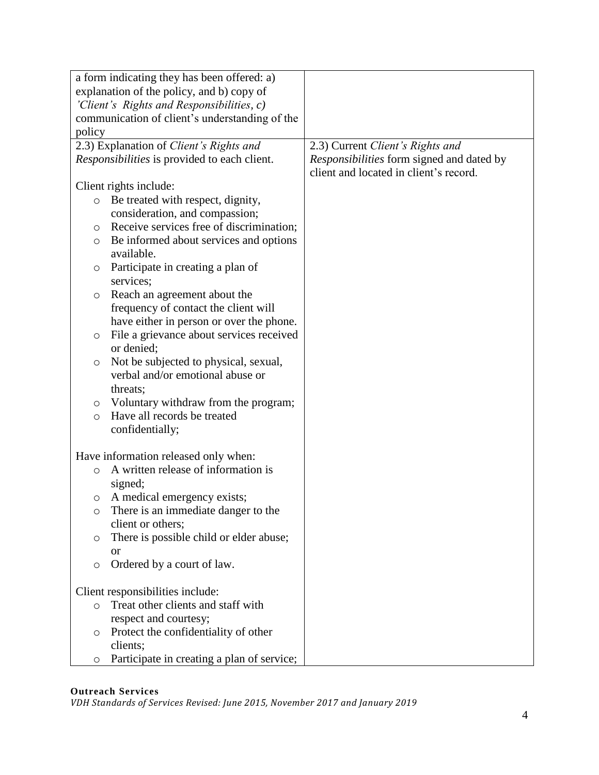|         | a form indicating they has been offered: a)    |                                           |
|---------|------------------------------------------------|-------------------------------------------|
|         | explanation of the policy, and b) copy of      |                                           |
|         | 'Client's Rights and Responsibilities, c)      |                                           |
|         | communication of client's understanding of the |                                           |
| policy  |                                                |                                           |
|         | 2.3) Explanation of Client's Rights and        | 2.3) Current Client's Rights and          |
|         | Responsibilities is provided to each client.   | Responsibilities form signed and dated by |
|         |                                                | client and located in client's record.    |
|         | Client rights include:                         |                                           |
| $\circ$ | Be treated with respect, dignity,              |                                           |
|         | consideration, and compassion;                 |                                           |
| $\circ$ | Receive services free of discrimination;       |                                           |
| O       | Be informed about services and options         |                                           |
|         | available.                                     |                                           |
| $\circ$ | Participate in creating a plan of              |                                           |
|         | services;                                      |                                           |
| $\circ$ | Reach an agreement about the                   |                                           |
|         | frequency of contact the client will           |                                           |
|         | have either in person or over the phone.       |                                           |
| $\circ$ | File a grievance about services received       |                                           |
|         | or denied;                                     |                                           |
| $\circ$ | Not be subjected to physical, sexual,          |                                           |
|         | verbal and/or emotional abuse or               |                                           |
|         | threats;                                       |                                           |
| $\circ$ | Voluntary withdraw from the program;           |                                           |
| $\circ$ | Have all records be treated                    |                                           |
|         | confidentially;                                |                                           |
|         |                                                |                                           |
|         | Have information released only when:           |                                           |
| $\circ$ | A written release of information is            |                                           |
|         | signed;                                        |                                           |
| $\circ$ | A medical emergency exists;                    |                                           |
| O       | There is an immediate danger to the            |                                           |
|         | client or others;                              |                                           |
| O       | There is possible child or elder abuse;        |                                           |
|         | <b>or</b>                                      |                                           |
| $\circ$ | Ordered by a court of law.                     |                                           |
|         |                                                |                                           |
|         | Client responsibilities include:               |                                           |
| $\circ$ | Treat other clients and staff with             |                                           |
|         | respect and courtesy;                          |                                           |
| O       | Protect the confidentiality of other           |                                           |
|         | clients;                                       |                                           |
| O       | Participate in creating a plan of service;     |                                           |

# **Outreach Services**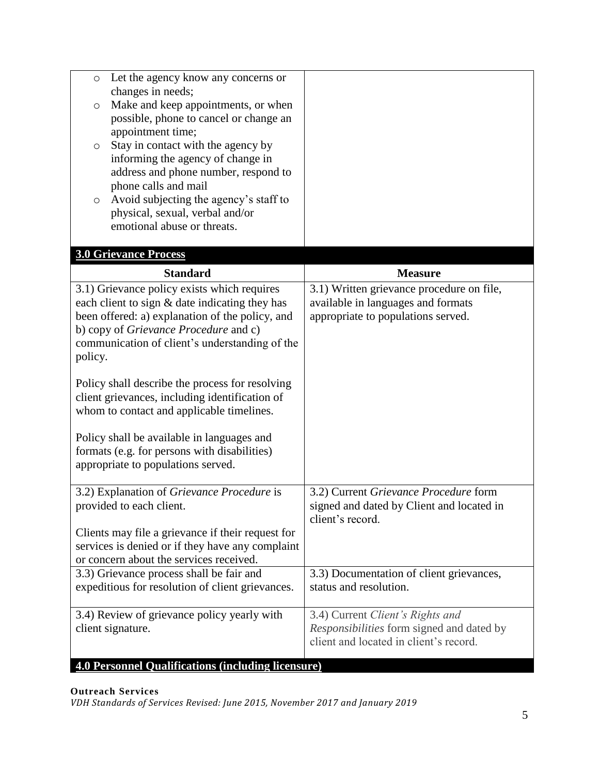| Let the agency know any concerns or<br>$\circ$<br>changes in needs;<br>Make and keep appointments, or when<br>$\circ$<br>possible, phone to cancel or change an<br>appointment time;<br>Stay in contact with the agency by<br>$\circ$<br>informing the agency of change in<br>address and phone number, respond to<br>phone calls and mail<br>Avoid subjecting the agency's staff to<br>$\circlearrowright$<br>physical, sexual, verbal and/or<br>emotional abuse or threats. |                                                                                                                         |
|-------------------------------------------------------------------------------------------------------------------------------------------------------------------------------------------------------------------------------------------------------------------------------------------------------------------------------------------------------------------------------------------------------------------------------------------------------------------------------|-------------------------------------------------------------------------------------------------------------------------|
|                                                                                                                                                                                                                                                                                                                                                                                                                                                                               |                                                                                                                         |
| <b>3.0 Grievance Process</b>                                                                                                                                                                                                                                                                                                                                                                                                                                                  |                                                                                                                         |
| <b>Standard</b>                                                                                                                                                                                                                                                                                                                                                                                                                                                               | <b>Measure</b>                                                                                                          |
| 3.1) Grievance policy exists which requires<br>each client to sign & date indicating they has<br>been offered: a) explanation of the policy, and<br>b) copy of Grievance Procedure and c)<br>communication of client's understanding of the<br>policy.                                                                                                                                                                                                                        | 3.1) Written grievance procedure on file,<br>available in languages and formats<br>appropriate to populations served.   |
| Policy shall describe the process for resolving<br>client grievances, including identification of<br>whom to contact and applicable timelines.                                                                                                                                                                                                                                                                                                                                |                                                                                                                         |
| Policy shall be available in languages and<br>formats (e.g. for persons with disabilities)<br>appropriate to populations served.                                                                                                                                                                                                                                                                                                                                              |                                                                                                                         |
| 3.2) Explanation of Grievance Procedure is<br>provided to each client.                                                                                                                                                                                                                                                                                                                                                                                                        | 3.2) Current Grievance Procedure form<br>signed and dated by Client and located in<br>client's record.                  |
| Clients may file a grievance if their request for<br>services is denied or if they have any complaint<br>or concern about the services received.                                                                                                                                                                                                                                                                                                                              |                                                                                                                         |
| 3.3) Grievance process shall be fair and<br>expeditious for resolution of client grievances.                                                                                                                                                                                                                                                                                                                                                                                  | 3.3) Documentation of client grievances,<br>status and resolution.                                                      |
| 3.4) Review of grievance policy yearly with<br>client signature.                                                                                                                                                                                                                                                                                                                                                                                                              | 3.4) Current Client's Rights and<br>Responsibilities form signed and dated by<br>client and located in client's record. |
| <b>4.0 Personnel Qualifications (including licensure)</b>                                                                                                                                                                                                                                                                                                                                                                                                                     |                                                                                                                         |

## **Outreach Services**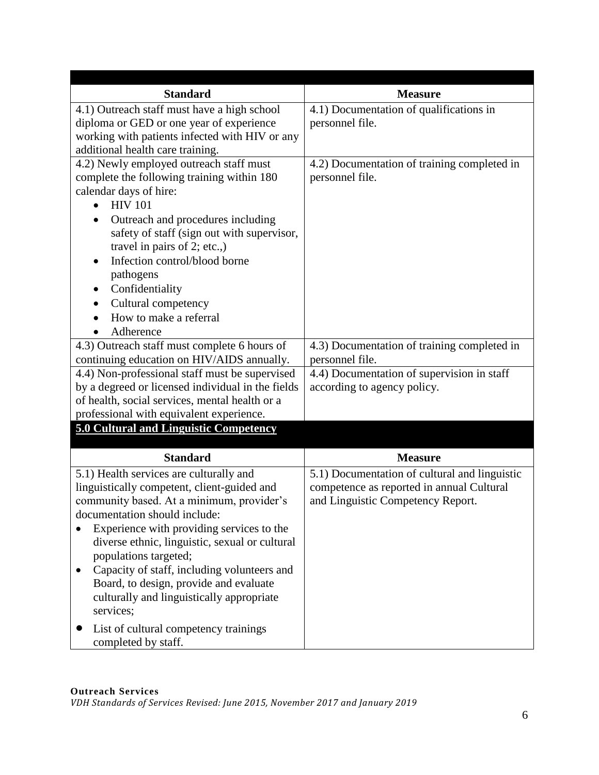| <b>Standard</b>                                                                                                                                                                                                                                                                                                                                                                                                                                              | <b>Measure</b>                                                                                                                  |
|--------------------------------------------------------------------------------------------------------------------------------------------------------------------------------------------------------------------------------------------------------------------------------------------------------------------------------------------------------------------------------------------------------------------------------------------------------------|---------------------------------------------------------------------------------------------------------------------------------|
| 4.1) Outreach staff must have a high school<br>diploma or GED or one year of experience<br>working with patients infected with HIV or any<br>additional health care training.                                                                                                                                                                                                                                                                                | 4.1) Documentation of qualifications in<br>personnel file.                                                                      |
| 4.2) Newly employed outreach staff must<br>complete the following training within 180<br>calendar days of hire:<br><b>HIV 101</b><br>Outreach and procedures including<br>safety of staff (sign out with supervisor,<br>travel in pairs of 2; etc.,)<br>Infection control/blood borne<br>pathogens<br>Confidentiality<br>Cultural competency<br>How to make a referral<br>Adherence                                                                          | 4.2) Documentation of training completed in<br>personnel file.                                                                  |
| 4.3) Outreach staff must complete 6 hours of<br>continuing education on HIV/AIDS annually.                                                                                                                                                                                                                                                                                                                                                                   | 4.3) Documentation of training completed in<br>personnel file.                                                                  |
| 4.4) Non-professional staff must be supervised<br>by a degreed or licensed individual in the fields<br>of health, social services, mental health or a<br>professional with equivalent experience.<br>5.0 Cultural and Linguistic Competency                                                                                                                                                                                                                  | 4.4) Documentation of supervision in staff<br>according to agency policy.                                                       |
| <b>Standard</b>                                                                                                                                                                                                                                                                                                                                                                                                                                              | <b>Measure</b>                                                                                                                  |
| 5.1) Health services are culturally and<br>linguistically competent, client-guided and<br>community based. At a minimum, provider's<br>documentation should include:<br>Experience with providing services to the<br>diverse ethnic, linguistic, sexual or cultural<br>populations targeted;<br>Capacity of staff, including volunteers and<br>$\bullet$<br>Board, to design, provide and evaluate<br>culturally and linguistically appropriate<br>services; | 5.1) Documentation of cultural and linguistic<br>competence as reported in annual Cultural<br>and Linguistic Competency Report. |
| List of cultural competency trainings<br>completed by staff.                                                                                                                                                                                                                                                                                                                                                                                                 |                                                                                                                                 |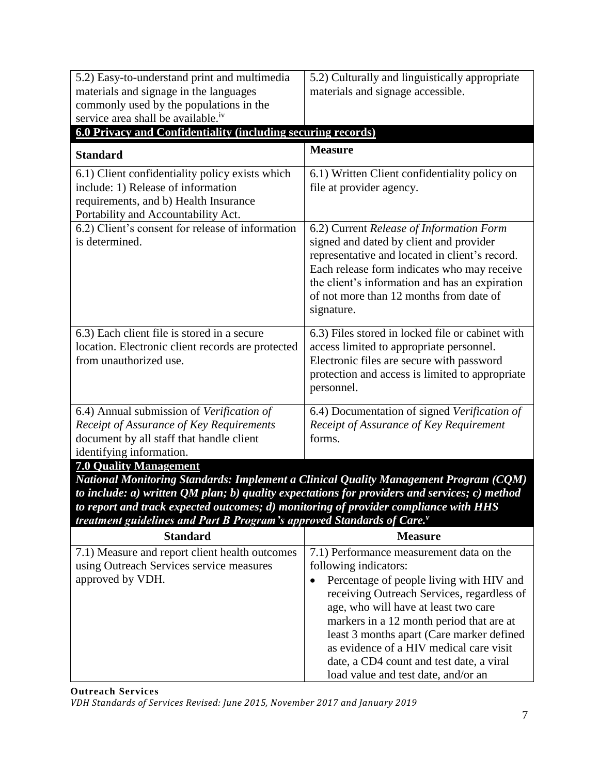| 5.2) Easy-to-understand print and multimedia<br>materials and signage in the languages<br>commonly used by the populations in the<br>service area shall be available. <sup>iv</sup>                                                                                                                                                                                             | 5.2) Culturally and linguistically appropriate<br>materials and signage accessible.                                                                                                                                                                                                                       |
|---------------------------------------------------------------------------------------------------------------------------------------------------------------------------------------------------------------------------------------------------------------------------------------------------------------------------------------------------------------------------------|-----------------------------------------------------------------------------------------------------------------------------------------------------------------------------------------------------------------------------------------------------------------------------------------------------------|
| 6.0 Privacy and Confidentiality (including securing records)                                                                                                                                                                                                                                                                                                                    |                                                                                                                                                                                                                                                                                                           |
| <b>Standard</b>                                                                                                                                                                                                                                                                                                                                                                 | <b>Measure</b>                                                                                                                                                                                                                                                                                            |
| 6.1) Client confidentiality policy exists which<br>include: 1) Release of information<br>requirements, and b) Health Insurance<br>Portability and Accountability Act.                                                                                                                                                                                                           | 6.1) Written Client confidentiality policy on<br>file at provider agency.                                                                                                                                                                                                                                 |
| 6.2) Client's consent for release of information<br>is determined.                                                                                                                                                                                                                                                                                                              | 6.2) Current Release of Information Form<br>signed and dated by client and provider<br>representative and located in client's record.<br>Each release form indicates who may receive<br>the client's information and has an expiration<br>of not more than 12 months from date of<br>signature.           |
| 6.3) Each client file is stored in a secure<br>location. Electronic client records are protected<br>from unauthorized use.                                                                                                                                                                                                                                                      | 6.3) Files stored in locked file or cabinet with<br>access limited to appropriate personnel.<br>Electronic files are secure with password<br>protection and access is limited to appropriate<br>personnel.                                                                                                |
| 6.4) Annual submission of Verification of<br>Receipt of Assurance of Key Requirements<br>document by all staff that handle client<br>identifying information.                                                                                                                                                                                                                   | 6.4) Documentation of signed Verification of<br>Receipt of Assurance of Key Requirement<br>forms.                                                                                                                                                                                                         |
| <b>7.0 Quality Management</b>                                                                                                                                                                                                                                                                                                                                                   |                                                                                                                                                                                                                                                                                                           |
| <b>National Monitoring Standards: Implement a Clinical Quality Management Program (CQM)</b><br>to include: $a$ ) written QM plan; $b$ ) quality expectations for providers and services; $c$ ) method<br>to report and track expected outcomes; d) monitoring of provider compliance with HHS<br><i>treatment guidelines and Part B Program's approved Standards of Care.</i> " |                                                                                                                                                                                                                                                                                                           |
| <b>Standard</b>                                                                                                                                                                                                                                                                                                                                                                 | <b>Measure</b>                                                                                                                                                                                                                                                                                            |
| 7.1) Measure and report client health outcomes<br>using Outreach Services service measures<br>approved by VDH.                                                                                                                                                                                                                                                                  | 7.1) Performance measurement data on the<br>following indicators:<br>Percentage of people living with HIV and<br>$\bullet$<br>receiving Outreach Services, regardless of<br>age, who will have at least two care<br>markers in a 12 month period that are at<br>least 3 months apart (Care marker defined |

**Outreach Services**

*VDH Standards of Services Revised: June 2015, November 2017 and January 2019*

as evidence of a HIV medical care visit date, a CD4 count and test date, a viral load value and test date, and/or an